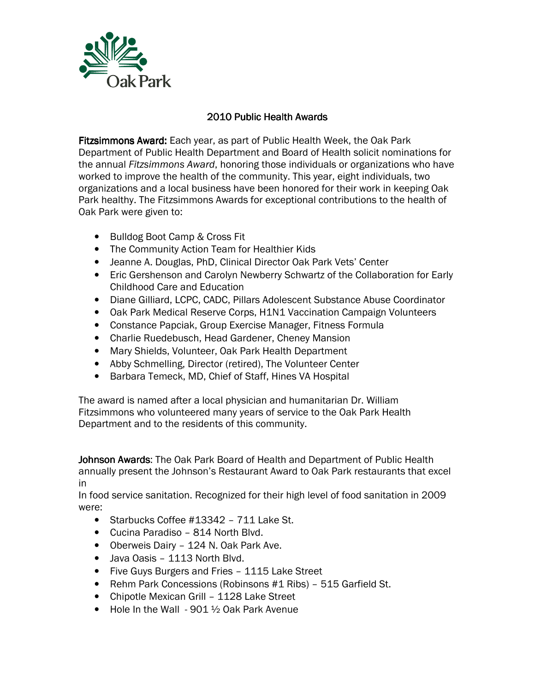

## 2010 Public Health Awards

Fitzsimmons Award: Each year, as part of Public Health Week, the Oak Park Department of Public Health Department and Board of Health solicit nominations for the annual Fitzsimmons Award, honoring those individuals or organizations who have worked to improve the health of the community. This year, eight individuals, two organizations and a local business have been honored for their work in keeping Oak Park healthy. The Fitzsimmons Awards for exceptional contributions to the health of Oak Park were given to:

- Bulldog Boot Camp & Cross Fit
- The Community Action Team for Healthier Kids
- Jeanne A. Douglas, PhD, Clinical Director Oak Park Vets' Center
- Eric Gershenson and Carolyn Newberry Schwartz of the Collaboration for Early Childhood Care and Education
- Diane Gilliard, LCPC, CADC, Pillars Adolescent Substance Abuse Coordinator
- Oak Park Medical Reserve Corps, H1N1 Vaccination Campaign Volunteers
- Constance Papciak, Group Exercise Manager, Fitness Formula
- Charlie Ruedebusch, Head Gardener, Cheney Mansion
- Mary Shields, Volunteer, Oak Park Health Department
- Abby Schmelling, Director (retired), The Volunteer Center
- Barbara Temeck, MD, Chief of Staff, Hines VA Hospital

The award is named after a local physician and humanitarian Dr. William Fitzsimmons who volunteered many years of service to the Oak Park Health Department and to the residents of this community.

Johnson Awards: The Oak Park Board of Health and Department of Public Health annually present the Johnson's Restaurant Award to Oak Park restaurants that excel in

In food service sanitation. Recognized for their high level of food sanitation in 2009 were:

- Starbucks Coffee #13342 711 Lake St.
- Cucina Paradiso 814 North Blvd.
- Oberweis Dairy 124 N. Oak Park Ave.
- Java Oasis 1113 North Blvd.
- Five Guys Burgers and Fries 1115 Lake Street
- Rehm Park Concessions (Robinsons #1 Ribs) 515 Garfield St.
- Chipotle Mexican Grill 1128 Lake Street
- Hole In the Wall 901 1/2 Oak Park Avenue